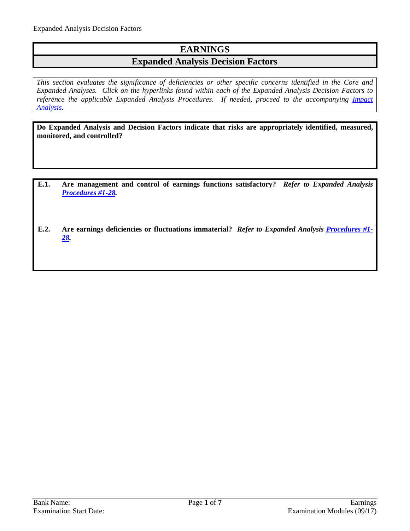## **EARNINGS**

### **Expanded Analysis Decision Factors**

*This section evaluates the significance of deficiencies or other specific concerns identified in the Core and Expanded Analyses. Click on the hyperlinks found within each of the Expanded Analysis Decision Factors to*  reference the applicable Expanded Analysis Procedures. If needed, proceed to the accompanying *Impact [Analysis.](#page-6-0)*

**Do Expanded Analysis and Decision Factors indicate that risks are appropriately identified, measured, monitored, and controlled?**

- **E.1. Are management and control of earnings functions satisfactory?** *Refer to Expanded Analysis [Procedures #1-28.](#page-1-0)*
- **E.2. Are earnings deficiencies or fluctuations immaterial?** *Refer to Expanded Analysis [Procedures #1-](#page-1-0) [28.](#page-1-0)*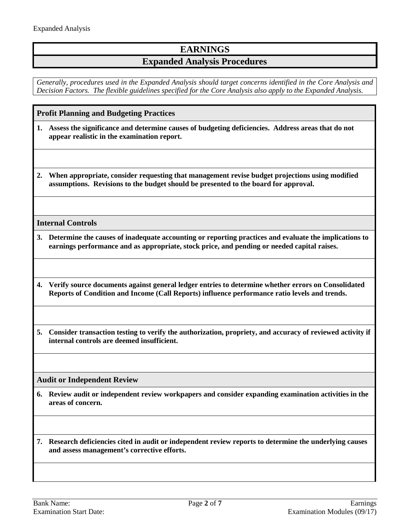## **EARNINGS**

## **Expanded Analysis Procedures**

*Generally, procedures used in the Expanded Analysis should target concerns identified in the Core Analysis and Decision Factors. The flexible guidelines specified for the Core Analysis also apply to the Expanded Analysis.*

<span id="page-1-0"></span>**Profit Planning and Budgeting Practices**

- **1. Assess the significance and determine causes of budgeting deficiencies. Address areas that do not appear realistic in the examination report.**
- **2. When appropriate, consider requesting that management revise budget projections using modified assumptions. Revisions to the budget should be presented to the board for approval.**

#### **Internal Controls**

- **3. Determine the causes of inadequate accounting or reporting practices and evaluate the implications to earnings performance and as appropriate, stock price, and pending or needed capital raises.**
- **4. Verify source documents against general ledger entries to determine whether errors on Consolidated Reports of Condition and Income (Call Reports) influence performance ratio levels and trends.**
- **5. Consider transaction testing to verify the authorization, propriety, and accuracy of reviewed activity if internal controls are deemed insufficient.**

#### **Audit or Independent Review**

**6. Review audit or independent review workpapers and consider expanding examination activities in the areas of concern.** 

**7. Research deficiencies cited in audit or independent review reports to determine the underlying causes and assess management's corrective efforts.**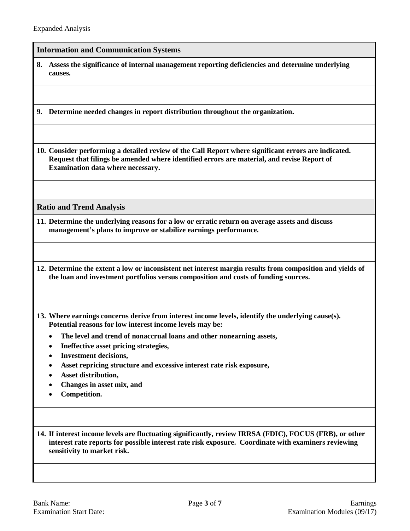#### **Information and Communication Systems**

**8. Assess the significance of internal management reporting deficiencies and determine underlying causes.**

**9. Determine needed changes in report distribution throughout the organization.**

**10. Consider performing a detailed review of the Call Report where significant errors are indicated. Request that filings be amended where identified errors are material, and revise Report of Examination data where necessary.**

**Ratio and Trend Analysis**

**11. Determine the underlying reasons for a low or erratic return on average assets and discuss management's plans to improve or stabilize earnings performance.**

**12. Determine the extent a low or inconsistent net interest margin results from composition and yields of the loan and investment portfolios versus composition and costs of funding sources.**

**13. Where earnings concerns derive from interest income levels, identify the underlying cause(s). Potential reasons for low interest income levels may be:**

- **The level and trend of nonaccrual loans and other nonearning assets,**
- **Ineffective asset pricing strategies,**
- **Investment decisions,**
- **Asset repricing structure and excessive interest rate risk exposure,**
- **Asset distribution,**
- **Changes in asset mix, and**
- **Competition.**

**14. If interest income levels are fluctuating significantly, review IRRSA (FDIC), FOCUS (FRB), or other interest rate reports for possible interest rate risk exposure. Coordinate with examiners reviewing sensitivity to market risk.**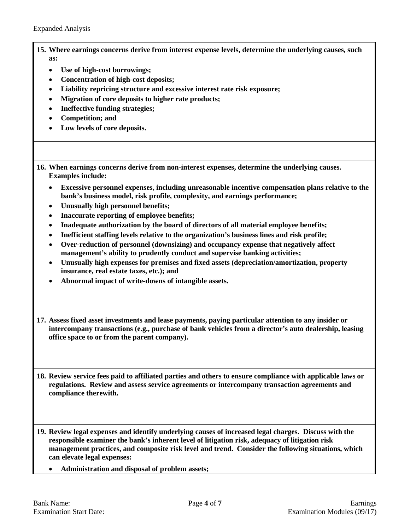- **15. Where earnings concerns derive from interest expense levels, determine the underlying causes, such as:**
	- **Use of high-cost borrowings;**
	- **Concentration of high-cost deposits;**
	- **Liability repricing structure and excessive interest rate risk exposure;**
	- **Migration of core deposits to higher rate products;**
	- **Ineffective funding strategies;**
	- **Competition; and**
	- **Low levels of core deposits.**

**16. When earnings concerns derive from non-interest expenses, determine the underlying causes. Examples include:**

- **Excessive personnel expenses, including unreasonable incentive compensation plans relative to the bank's business model, risk profile, complexity, and earnings performance;**
- **Unusually high personnel benefits;**
- **Inaccurate reporting of employee benefits;**
- **Inadequate authorization by the board of directors of all material employee benefits;**
- **Inefficient staffing levels relative to the organization's business lines and risk profile;**
- **Over-reduction of personnel (downsizing) and occupancy expense that negatively affect management's ability to prudently conduct and supervise banking activities;**
- **Unusually high expenses for premises and fixed assets (depreciation/amortization, property insurance, real estate taxes, etc.); and**
- **Abnormal impact of write-downs of intangible assets.**

**17. Assess fixed asset investments and lease payments, paying particular attention to any insider or intercompany transactions (e.g., purchase of bank vehicles from a director's auto dealership, leasing office space to or from the parent company).**

**18. Review service fees paid to affiliated parties and others to ensure compliance with applicable laws or regulations. Review and assess service agreements or intercompany transaction agreements and compliance therewith.**

**19. Review legal expenses and identify underlying causes of increased legal charges. Discuss with the responsible examiner the bank's inherent level of litigation risk, adequacy of litigation risk management practices, and composite risk level and trend. Consider the following situations, which can elevate legal expenses:**

• **Administration and disposal of problem assets;**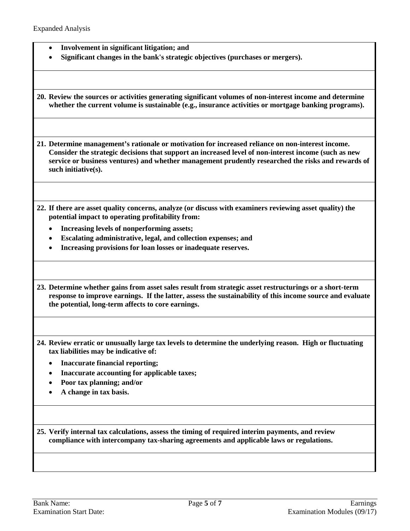- **Involvement in significant litigation; and**
- **Significant changes in the bank's strategic objectives (purchases or mergers).**

**20. Review the sources or activities generating significant volumes of non-interest income and determine whether the current volume is sustainable (e.g., insurance activities or mortgage banking programs).**

**21. Determine management's rationale or motivation for increased reliance on non-interest income. Consider the strategic decisions that support an increased level of non-interest income (such as new service or business ventures) and whether management prudently researched the risks and rewards of such initiative(s).**

- **22. If there are asset quality concerns, analyze (or discuss with examiners reviewing asset quality) the potential impact to operating profitability from:**
	- **Increasing levels of nonperforming assets;**
	- **Escalating administrative, legal, and collection expenses; and**
	- **Increasing provisions for loan losses or inadequate reserves.**

**23. Determine whether gains from asset sales result from strategic asset restructurings or a short-term response to improve earnings. If the latter, assess the sustainability of this income source and evaluate the potential, long-term affects to core earnings.**

- **24. Review erratic or unusually large tax levels to determine the underlying reason. High or fluctuating tax liabilities may be indicative of:**
	- **Inaccurate financial reporting;**
	- **Inaccurate accounting for applicable taxes;**
	- **Poor tax planning; and/or**
	- **A change in tax basis.**

**25. Verify internal tax calculations, assess the timing of required interim payments, and review compliance with intercompany tax-sharing agreements and applicable laws or regulations.**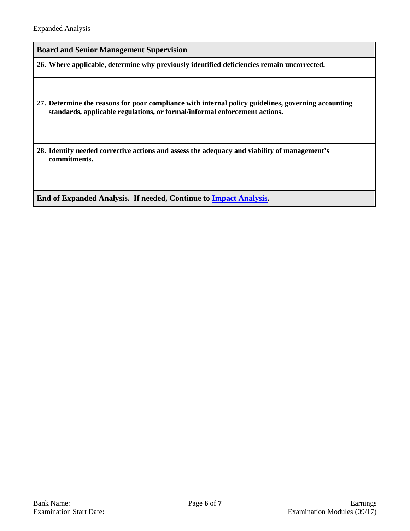**Board and Senior Management Supervision**

**26. Where applicable, determine why previously identified deficiencies remain uncorrected.**

**27. Determine the reasons for poor compliance with internal policy guidelines, governing accounting standards, applicable regulations, or formal/informal enforcement actions.** 

**28. Identify needed corrective actions and assess the adequacy and viability of management's commitments.**

**End of Expanded Analysis. If needed, Continue to [Impact Analysis.](#page-6-0)**